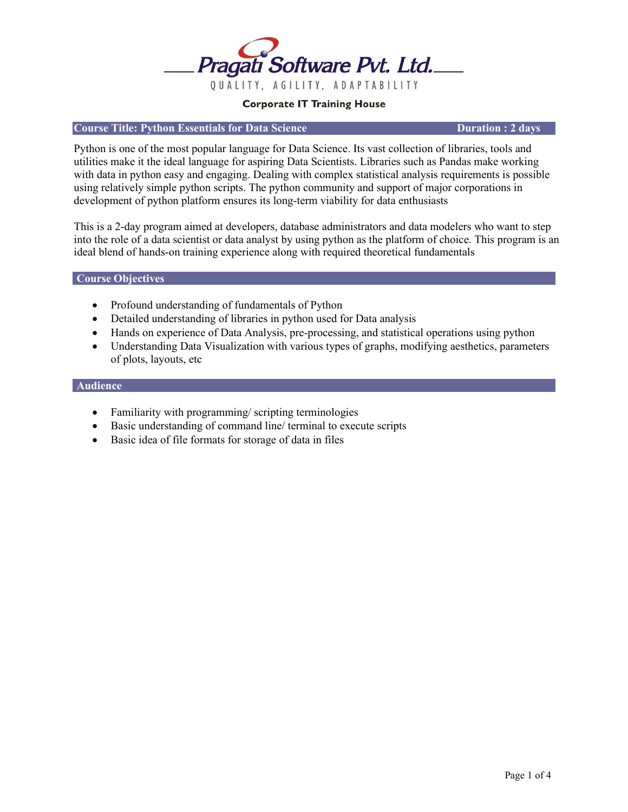

### **Course Title: Python Essentials for Data Science Duration : 2 days**

Python is one of the most popular language for Data Science. Its vast collection of libraries, tools and utilities make it the ideal language for aspiring Data Scientists. Libraries such as Pandas make working with data in python easy and engaging. Dealing with complex statistical analysis requirements is possible using relatively simple python scripts. The python community and support of major corporations in development of python platform ensures its long-term viability for data enthusiasts

This is a 2-day program aimed at developers, database administrators and data modelers who want to step into the role of a data scientist or data analyst by using python as the platform of choice. This program is an ideal blend of hands-on training experience along with required theoretical fundamentals

#### **Course Objectives**

- Profound understanding of fundamentals of Python
- Detailed understanding of libraries in python used for Data analysis
- Hands on experience of Data Analysis, pre-processing, and statistical operations using python
- Understanding Data Visualization with various types of graphs, modifying aesthetics, parameters of plots, layouts, etc

#### **Audience**

- Familiarity with programming/scripting terminologies
- Basic understanding of command line/ terminal to execute scripts
- Basic idea of file formats for storage of data in files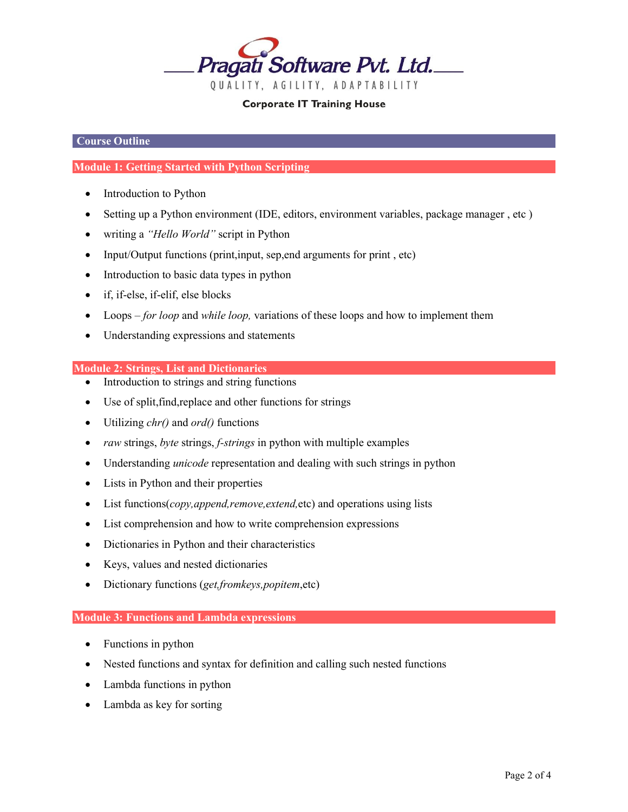

# **Course Outline**

# **Module 1: Getting Started with Python Scripting**

- Introduction to Python
- Setting up a Python environment (IDE, editors, environment variables, package manager , etc )
- writing a *"Hello World"* script in Python
- Input/Output functions (print, input, sep, end arguments for print, etc)
- Introduction to basic data types in python
- if, if-else, if-elif, else blocks
- Loops *for loop* and *while loop,* variations of these loops and how to implement them
- Understanding expressions and statements

## **Module 2: Strings, List and Dictionaries**

- Introduction to strings and string functions
- Use of split, find, replace and other functions for strings
- Utilizing *chr()* and *ord()* functions
- *raw* strings, *byte* strings, *f-strings* in python with multiple examples
- Understanding *unicode* representation and dealing with such strings in python
- Lists in Python and their properties
- List functions(*copy,append,remove,extend,*etc) and operations using lists
- List comprehension and how to write comprehension expressions
- Dictionaries in Python and their characteristics
- Keys, values and nested dictionaries
- Dictionary functions (*get,fromkeys,popitem*,etc)

# **Module 3: Functions and Lambda expressions**

- Functions in python
- Nested functions and syntax for definition and calling such nested functions
- Lambda functions in python
- Lambda as key for sorting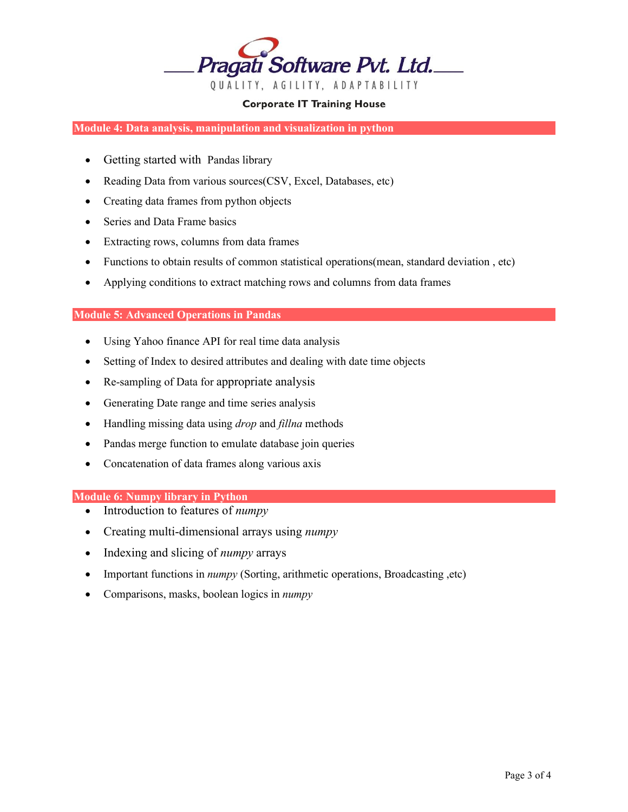

**Module 4: Data analysis, manipulation and visualization in python**

- Getting started with Pandas library
- Reading Data from various sources(CSV, Excel, Databases, etc)
- Creating data frames from python objects
- Series and Data Frame basics
- Extracting rows, columns from data frames
- Functions to obtain results of common statistical operations(mean, standard deviation , etc)
- Applying conditions to extract matching rows and columns from data frames

## **Module 5: Advanced Operations in Pandas**

- Using Yahoo finance API for real time data analysis
- Setting of Index to desired attributes and dealing with date time objects
- Re-sampling of Data for appropriate analysis
- Generating Date range and time series analysis
- Handling missing data using *drop* and *fillna* methods
- Pandas merge function to emulate database join queries
- Concatenation of data frames along various axis

### **Module 6: Numpy library in Python**

- Introduction to features of *numpy*
- Creating multi-dimensional arrays using *numpy*
- Indexing and slicing of *numpy* arrays
- Important functions in *numpy* (Sorting, arithmetic operations, Broadcasting ,etc)
- Comparisons, masks, boolean logics in *numpy*